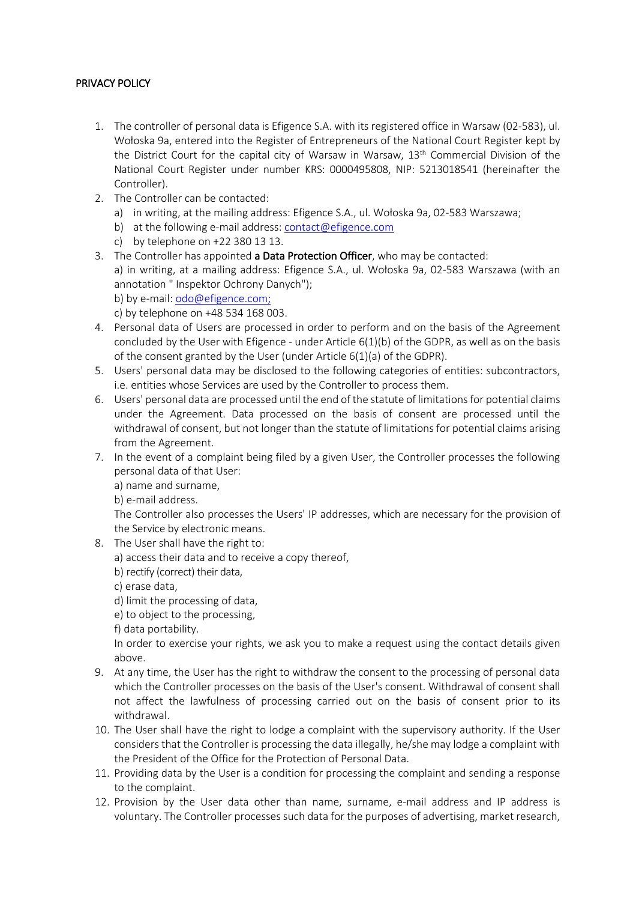# PRIVACY POLICY

- 1. The controller of personal data is Efigence S.A. with its registered office in Warsaw (02-583), ul. Wołoska 9a, entered into the Register of Entrepreneurs of the National Court Register kept by the District Court for the capital city of Warsaw in Warsaw, 13<sup>th</sup> Commercial Division of the National Court Register under number KRS: 0000495808, NIP: 5213018541 (hereinafter the Controller).
- 2. The Controller can be contacted:
	- a) in writing, at the mailing address: Efigence S.A., ul. Wołoska 9a, 02-583 Warszawa;
	- b) at the following e-mail address: contact@efigence.com
	- c) by telephone on +22 380 13 13.
- 3. The Controller has appointed a Data Protection Officer, who may be contacted:
- a) in writing, at a mailing address: Efigence S.A., ul. Wołoska 9a, 02-583 Warszawa (with an annotation " Inspektor Ochrony Danych");
	- b) by e-mail: odo@efigence.com;

c) by telephone on +48 534 168 003.

- 4. Personal data of Users are processed in order to perform and on the basis of the Agreement concluded by the User with Efigence - under Article  $6(1)(b)$  of the GDPR, as well as on the basis of the consent granted by the User (under Article 6(1)(a) of the GDPR).
- 5. Users' personal data may be disclosed to the following categories of entities: subcontractors, i.e. entities whose Services are used by the Controller to process them.
- 6. Users' personal data are processed until the end of the statute of limitations for potential claims under the Agreement. Data processed on the basis of consent are processed until the withdrawal of consent, but not longer than the statute of limitations for potential claims arising from the Agreement.
- 7. In the event of a complaint being filed by a given User, the Controller processes the following personal data of that User:
	- a) name and surname,

b) e-mail address.

The Controller also processes the Users' IP addresses, which are necessary for the provision of the Service by electronic means.

- 8. The User shall have the right to:
	- a) access their data and to receive a copy thereof,
	- b) rectify (correct) their data,

c) erase data,

d) limit the processing of data,

e) to object to the processing,

f) data portability.

In order to exercise your rights, we ask you to make a request using the contact details given above.

- 9. At any time, the User has the right to withdraw the consent to the processing of personal data which the Controller processes on the basis of the User's consent. Withdrawal of consent shall not affect the lawfulness of processing carried out on the basis of consent prior to its withdrawal.
- 10. The User shall have the right to lodge a complaint with the supervisory authority. If the User considers that the Controller is processing the data illegally, he/she may lodge a complaint with the President of the Office for the Protection of Personal Data.
- 11. Providing data by the User is a condition for processing the complaint and sending a response to the complaint.
- 12. Provision by the User data other than name, surname, e-mail address and IP address is voluntary. The Controller processes such data for the purposes of advertising, market research,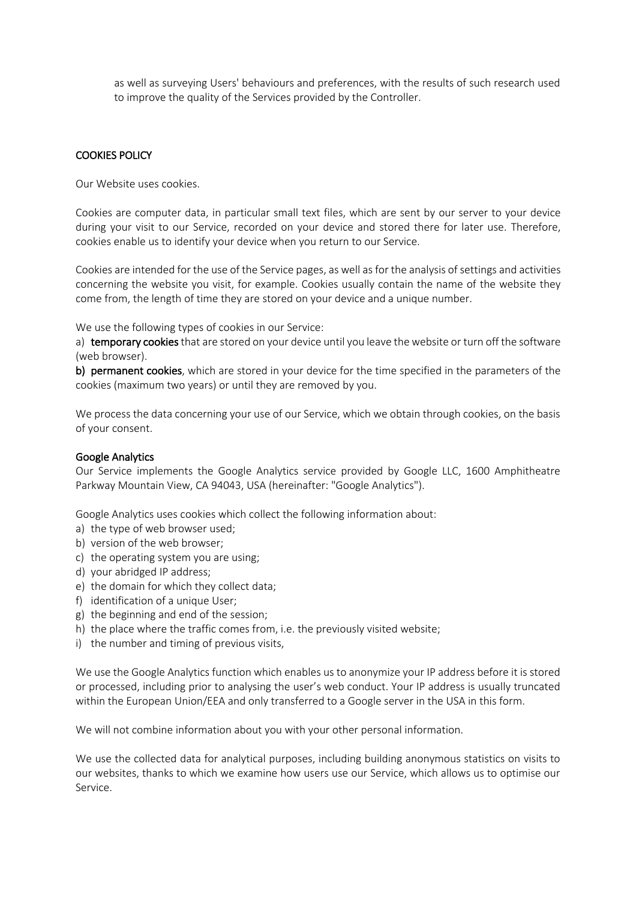as well as surveying Users' behaviours and preferences, with the results of such research used to improve the quality of the Services provided by the Controller.

### COOKIES POLICY

Our Website uses cookies.

Cookies are computer data, in particular small text files, which are sent by our server to your device during your visit to our Service, recorded on your device and stored there for later use. Therefore, cookies enable us to identify your device when you return to our Service.

Cookies are intended for the use of the Service pages, as well as for the analysis of settings and activities concerning the website you visit, for example. Cookies usually contain the name of the website they come from, the length of time they are stored on your device and a unique number.

We use the following types of cookies in our Service:

a) temporary cookies that are stored on your device until you leave the website or turn off the software (web browser).

b) permanent cookies, which are stored in your device for the time specified in the parameters of the cookies (maximum two years) or until they are removed by you.

We process the data concerning your use of our Service, which we obtain through cookies, on the basis of your consent.

### Google Analytics

Our Service implements the Google Analytics service provided by Google LLC, 1600 Amphitheatre Parkway Mountain View, CA 94043, USA (hereinafter: "Google Analytics").

Google Analytics uses cookies which collect the following information about:

- a) the type of web browser used;
- b) version of the web browser;
- c) the operating system you are using;
- d) your abridged IP address;
- e) the domain for which they collect data;
- f) identification of a unique User;
- g) the beginning and end of the session;
- h) the place where the traffic comes from, i.e. the previously visited website;
- i) the number and timing of previous visits,

We use the Google Analytics function which enables us to anonymize your IP address before it is stored or processed, including prior to analysing the user's web conduct. Your IP address is usually truncated within the European Union/EEA and only transferred to a Google server in the USA in this form.

We will not combine information about you with your other personal information.

We use the collected data for analytical purposes, including building anonymous statistics on visits to our websites, thanks to which we examine how users use our Service, which allows us to optimise our Service.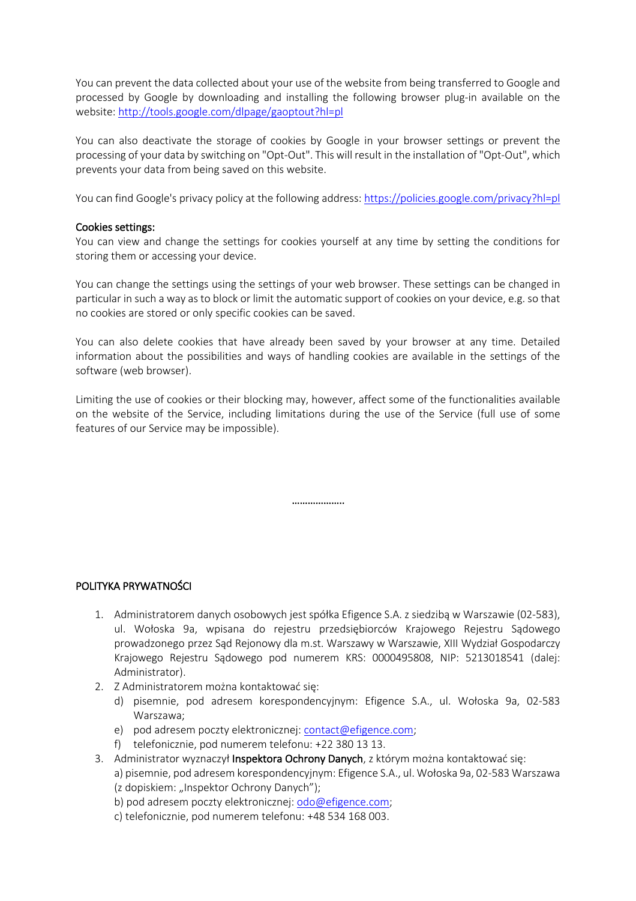You can prevent the data collected about your use of the website from being transferred to Google and processed by Google by downloading and installing the following browser plug-in available on the website: http://tools.google.com/dlpage/gaoptout?hl=pl

You can also deactivate the storage of cookies by Google in your browser settings or prevent the processing of your data by switching on "Opt-Out". This will result in the installation of "Opt-Out", which prevents your data from being saved on this website.

You can find Google's privacy policy at the following address: https://policies.google.com/privacy?hl=pl

### Cookies settings:

You can view and change the settings for cookies yourself at any time by setting the conditions for storing them or accessing your device.

You can change the settings using the settings of your web browser. These settings can be changed in particular in such a way as to block or limit the automatic support of cookies on your device, e.g. so that no cookies are stored or only specific cookies can be saved.

You can also delete cookies that have already been saved by your browser at any time. Detailed information about the possibilities and ways of handling cookies are available in the settings of the software (web browser).

Limiting the use of cookies or their blocking may, however, affect some of the functionalities available on the website of the Service, including limitations during the use of the Service (full use of some features of our Service may be impossible).

…………………

# POLITYKA PRYWATNOŚCI

- 1. Administratorem danych osobowych jest spółka Efigence S.A. z siedzibą w Warszawie (02-583), ul. Wołoska 9a, wpisana do rejestru przedsiębiorców Krajowego Rejestru Sądowego prowadzonego przez Sąd Rejonowy dla m.st. Warszawy w Warszawie, XIII Wydział Gospodarczy Krajowego Rejestru Sądowego pod numerem KRS: 0000495808, NIP: 5213018541 (dalej: Administrator).
- 2. Z Administratorem można kontaktować się:
	- d) pisemnie, pod adresem korespondencyjnym: Efigence S.A., ul. Wołoska 9a, 02-583 Warszawa;
	- e) pod adresem poczty elektronicznej: contact@efigence.com;
	- f) telefonicznie, pod numerem telefonu: +22 380 13 13.
- 3. Administrator wyznaczył Inspektora Ochrony Danych, z którym można kontaktować się: a) pisemnie, pod adresem korespondencyjnym: Efigence S.A., ul. Wołoska 9a, 02-583 Warszawa (z dopiskiem: "Inspektor Ochrony Danych");
	- b) pod adresem poczty elektronicznej: odo@efigence.com;
	- c) telefonicznie, pod numerem telefonu: +48 534 168 003.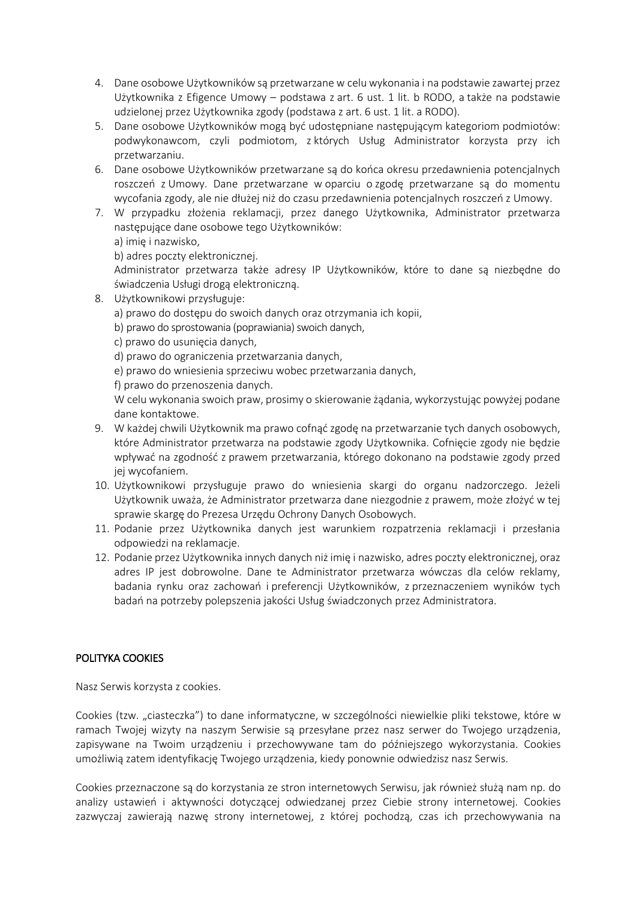- 4. Dane osobowe Użytkowników są przetwarzane w celu wykonania i na podstawie zawartej przez Użytkownika z Efigence Umowy – podstawa z art. 6 ust. 1 lit. b RODO, a także na podstawie udzielonej przez Użytkownika zgody (podstawa z art. 6 ust. 1 lit. a RODO).
- 5. Dane osobowe Użytkowników mogą być udostępniane następującym kategoriom podmiotów: podwykonawcom, czyli podmiotom, z których Usług Administrator korzysta przy ich przetwarzaniu.
- 6. Dane osobowe Użytkowników przetwarzane są do końca okresu przedawnienia potencjalnych roszczeń z Umowy. Dane przetwarzane w oparciu o zgodę przetwarzane są do momentu wycofania zgody, ale nie dłużej niż do czasu przedawnienia potencjalnych roszczeń z Umowy.
- 7. W przypadku złożenia reklamacji, przez danego Użytkownika, Administrator przetwarza następujące dane osobowe tego Użytkowników:
	- a) imię i nazwisko,

b) adres poczty elektronicznej.

Administrator przetwarza także adresy IP Użytkowników, które to dane są niezbędne do świadczenia Usługi drogą elektroniczną.

- 8. Użytkownikowi przysługuje:
	- a) prawo do dostępu do swoich danych oraz otrzymania ich kopii,
	- b) prawo do sprostowania (poprawiania) swoich danych,
	- c) prawo do usunięcia danych,
	- d) prawo do ograniczenia przetwarzania danych,
	- e) prawo do wniesienia sprzeciwu wobec przetwarzania danych,
	- f) prawo do przenoszenia danych.

W celu wykonania swoich praw, prosimy o skierowanie żądania, wykorzystując powyżej podane dane kontaktowe.

- 9. W każdej chwili Użytkownik ma prawo cofnąć zgodę na przetwarzanie tych danych osobowych, które Administrator przetwarza na podstawie zgody Użytkownika. Cofnięcie zgody nie będzie wpływać na zgodność z prawem przetwarzania, którego dokonano na podstawie zgody przed jej wycofaniem.
- 10. Użytkownikowi przysługuje prawo do wniesienia skargi do organu nadzorczego. Jeżeli Użytkownik uważa, że Administrator przetwarza dane niezgodnie z prawem, może złożyć w tej sprawie skargę do Prezesa Urzędu Ochrony Danych Osobowych.
- 11. Podanie przez Użytkownika danych jest warunkiem rozpatrzenia reklamacji i przesłania odpowiedzi na reklamacje.
- 12. Podanie przez Użytkownika innych danych niż imię i nazwisko, adres poczty elektronicznej, oraz adres IP jest dobrowolne. Dane te Administrator przetwarza wówczas dla celów reklamy, badania rynku oraz zachowań i preferencji Użytkowników, z przeznaczeniem wyników tych badań na potrzeby polepszenia jakości Usług świadczonych przez Administratora.

# POLITYKA COOKIES

Nasz Serwis korzysta z cookies.

Cookies (tzw. "ciasteczka") to dane informatyczne, w szczególności niewielkie pliki tekstowe, które w ramach Twojej wizyty na naszym Serwisie są przesyłane przez nasz serwer do Twojego urządzenia, zapisywane na Twoim urządzeniu i przechowywane tam do późniejszego wykorzystania. Cookies umożliwią zatem identyfikację Twojego urządzenia, kiedy ponownie odwiedzisz nasz Serwis.

Cookies przeznaczone są do korzystania ze stron internetowych Serwisu, jak również służą nam np. do analizy ustawień i aktywności dotyczącej odwiedzanej przez Ciebie strony internetowej. Cookies zazwyczaj zawierają nazwę strony internetowej, z której pochodzą, czas ich przechowywania na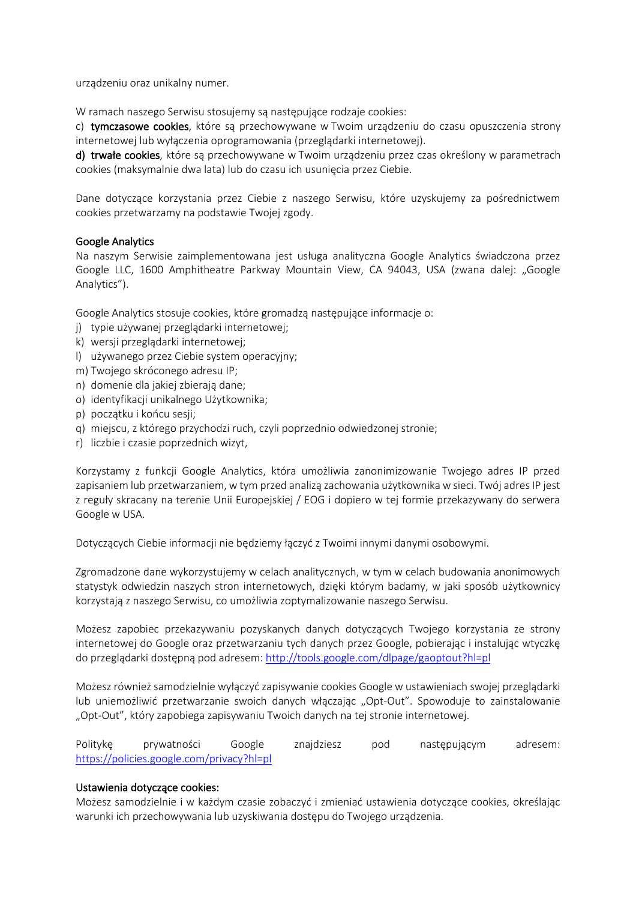urządzeniu oraz unikalny numer.

W ramach naszego Serwisu stosujemy są następujące rodzaje cookies:

c) tymczasowe cookies, które są przechowywane w Twoim urządzeniu do czasu opuszczenia strony internetowej lub wyłączenia oprogramowania (przeglądarki internetowej).

d) trwałe cookies, które są przechowywane w Twoim urządzeniu przez czas określony w parametrach cookies (maksymalnie dwa lata) lub do czasu ich usunięcia przez Ciebie.

Dane dotyczące korzystania przez Ciebie z naszego Serwisu, które uzyskujemy za pośrednictwem cookies przetwarzamy na podstawie Twojej zgody.

### Google Analytics

Na naszym Serwisie zaimplementowana jest usługa analityczna Google Analytics świadczona przez Google LLC, 1600 Amphitheatre Parkway Mountain View, CA 94043, USA (zwana dalej: "Google Analytics").

Google Analytics stosuje cookies, które gromadzą następujące informacje o:

- j) typie używanej przeglądarki internetowej;
- k) wersji przeglądarki internetowej;
- l) używanego przez Ciebie system operacyjny;
- m) Twojego skróconego adresu IP;
- n) domenie dla jakiej zbierają dane;
- o) identyfikacji unikalnego Użytkownika;
- p) początku i końcu sesji;
- q) miejscu, z którego przychodzi ruch, czyli poprzednio odwiedzonej stronie;
- r) liczbie i czasie poprzednich wizyt,

Korzystamy z funkcji Google Analytics, która umożliwia zanonimizowanie Twojego adres IP przed zapisaniem lub przetwarzaniem, w tym przed analizą zachowania użytkownika w sieci. Twój adres IP jest z reguły skracany na terenie Unii Europejskiej / EOG i dopiero w tej formie przekazywany do serwera Google w USA.

Dotyczących Ciebie informacji nie będziemy łączyć z Twoimi innymi danymi osobowymi.

Zgromadzone dane wykorzystujemy w celach analitycznych, w tym w celach budowania anonimowych statystyk odwiedzin naszych stron internetowych, dzięki którym badamy, w jaki sposób użytkownicy korzystają z naszego Serwisu, co umożliwia zoptymalizowanie naszego Serwisu.

Możesz zapobiec przekazywaniu pozyskanych danych dotyczących Twojego korzystania ze strony internetowej do Google oraz przetwarzaniu tych danych przez Google, pobierając i instalując wtyczkę do przeglądarki dostępną pod adresem: http://tools.google.com/dlpage/gaoptout?hl=pl

Możesz również samodzielnie wyłączyć zapisywanie cookies Google w ustawieniach swojej przeglądarki lub uniemożliwić przetwarzanie swoich danych włączając "Opt-Out". Spowoduje to zainstalowanie "Opt-Out", który zapobiega zapisywaniu Twoich danych na tej stronie internetowej.

Politykę prywatności Google znajdziesz pod następującym adresem: https://policies.google.com/privacy?hl=pl

### Ustawienia dotyczące cookies:

Możesz samodzielnie i w każdym czasie zobaczyć i zmieniać ustawienia dotyczące cookies, określając warunki ich przechowywania lub uzyskiwania dostępu do Twojego urządzenia.